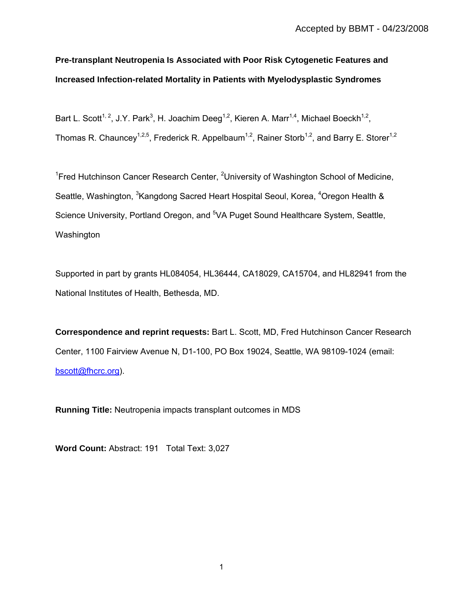# **Pre-transplant Neutropenia Is Associated with Poor Risk Cytogenetic Features and Increased Infection-related Mortality in Patients with Myelodysplastic Syndromes**

Bart L. Scott<sup>1, 2</sup>, J.Y. Park<sup>3</sup>, H. Joachim Deeg<sup>1,2</sup>, Kieren A. Marr<sup>1,4</sup>, Michael Boeckh<sup>1,2</sup>, Thomas R. Chauncey<sup>1,2,5</sup>, Frederick R. Appelbaum<sup>1,2</sup>, Rainer Storb<sup>1,2</sup>, and Barry E. Storer<sup>1,2</sup>

<sup>1</sup> Fred Hutchinson Cancer Research Center, <sup>2</sup> University of Washington School of Medicine, Seattle, Washington, <sup>3</sup>Kangdong Sacred Heart Hospital Seoul, Korea, <sup>4</sup>Oregon Health & Science University, Portland Oregon, and <sup>5</sup>VA Puget Sound Healthcare System, Seattle, Washington

Supported in part by grants HL084054, HL36444, CA18029, CA15704, and HL82941 from the National Institutes of Health, Bethesda, MD.

**Correspondence and reprint requests:** Bart L. Scott, MD, Fred Hutchinson Cancer Research Center, 1100 Fairview Avenue N, D1-100, PO Box 19024, Seattle, WA 98109-1024 (email: bscott@fhcrc.org).

**Running Title:** Neutropenia impacts transplant outcomes in MDS

**Word Count:** Abstract: 191 Total Text: 3,027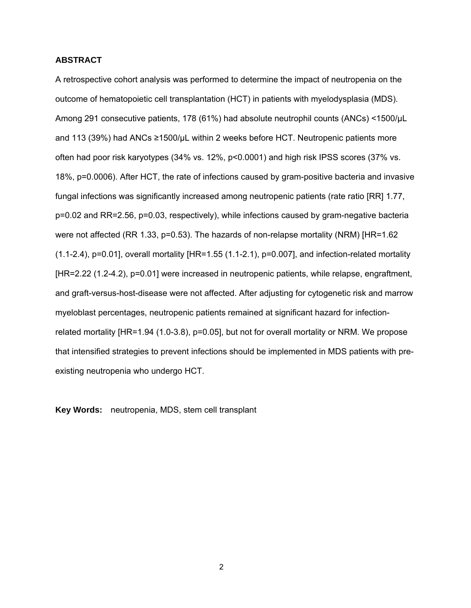### **ABSTRACT**

A retrospective cohort analysis was performed to determine the impact of neutropenia on the outcome of hematopoietic cell transplantation (HCT) in patients with myelodysplasia (MDS). Among 291 consecutive patients, 178 (61%) had absolute neutrophil counts (ANCs) <1500/µL and 113 (39%) had ANCs ≥1500/µL within 2 weeks before HCT. Neutropenic patients more often had poor risk karyotypes (34% vs. 12%, p<0.0001) and high risk IPSS scores (37% vs. 18%, p=0.0006). After HCT, the rate of infections caused by gram-positive bacteria and invasive fungal infections was significantly increased among neutropenic patients (rate ratio [RR] 1.77, p=0.02 and RR=2.56, p=0.03, respectively), while infections caused by gram-negative bacteria were not affected (RR 1.33, p=0.53). The hazards of non-relapse mortality (NRM) [HR=1.62  $(1.1-2.4)$ , p=0.01], overall mortality  $[HR=1.55 (1.1-2.1)$ , p=0.007], and infection-related mortality [HR=2.22 (1.2-4.2), p=0.01] were increased in neutropenic patients, while relapse, engraftment, and graft-versus-host-disease were not affected. After adjusting for cytogenetic risk and marrow myeloblast percentages, neutropenic patients remained at significant hazard for infectionrelated mortality [HR=1.94 (1.0-3.8), p=0.05], but not for overall mortality or NRM. We propose that intensified strategies to prevent infections should be implemented in MDS patients with preexisting neutropenia who undergo HCT.

**Key Words:** neutropenia, MDS, stem cell transplant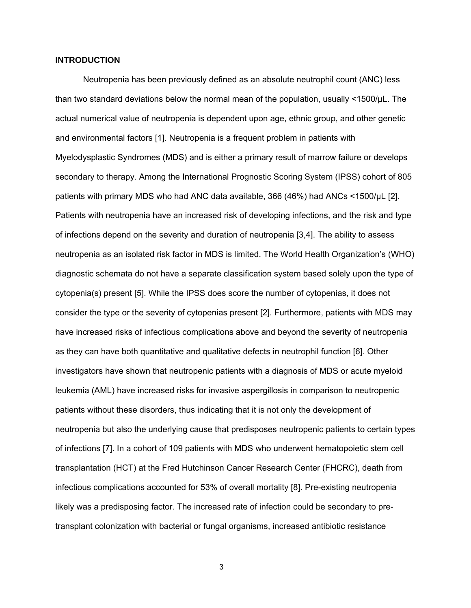#### **INTRODUCTION**

 Neutropenia has been previously defined as an absolute neutrophil count (ANC) less than two standard deviations below the normal mean of the population, usually <1500/µL. The actual numerical value of neutropenia is dependent upon age, ethnic group, and other genetic and environmental factors [1]. Neutropenia is a frequent problem in patients with Myelodysplastic Syndromes (MDS) and is either a primary result of marrow failure or develops secondary to therapy. Among the International Prognostic Scoring System (IPSS) cohort of 805 patients with primary MDS who had ANC data available, 366 (46%) had ANCs <1500/µL [2]. Patients with neutropenia have an increased risk of developing infections, and the risk and type of infections depend on the severity and duration of neutropenia [3,4]. The ability to assess neutropenia as an isolated risk factor in MDS is limited. The World Health Organization's (WHO) diagnostic schemata do not have a separate classification system based solely upon the type of cytopenia(s) present [5]. While the IPSS does score the number of cytopenias, it does not consider the type or the severity of cytopenias present [2]. Furthermore, patients with MDS may have increased risks of infectious complications above and beyond the severity of neutropenia as they can have both quantitative and qualitative defects in neutrophil function [6]. Other investigators have shown that neutropenic patients with a diagnosis of MDS or acute myeloid leukemia (AML) have increased risks for invasive aspergillosis in comparison to neutropenic patients without these disorders, thus indicating that it is not only the development of neutropenia but also the underlying cause that predisposes neutropenic patients to certain types of infections [7]. In a cohort of 109 patients with MDS who underwent hematopoietic stem cell transplantation (HCT) at the Fred Hutchinson Cancer Research Center (FHCRC), death from infectious complications accounted for 53% of overall mortality [8]. Pre-existing neutropenia likely was a predisposing factor. The increased rate of infection could be secondary to pretransplant colonization with bacterial or fungal organisms, increased antibiotic resistance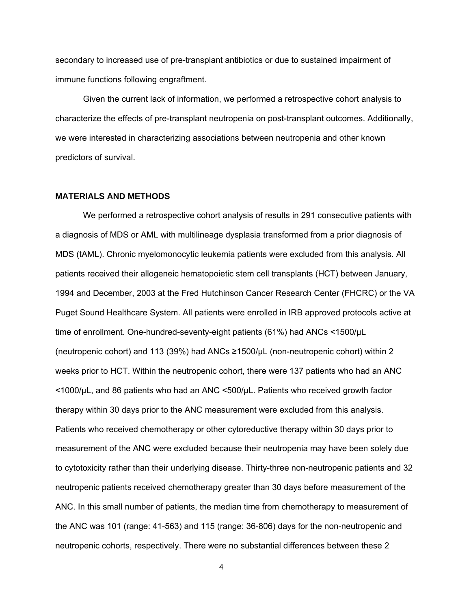secondary to increased use of pre-transplant antibiotics or due to sustained impairment of immune functions following engraftment.

 Given the current lack of information, we performed a retrospective cohort analysis to characterize the effects of pre-transplant neutropenia on post-transplant outcomes. Additionally, we were interested in characterizing associations between neutropenia and other known predictors of survival.

#### **MATERIALS AND METHODS**

 We performed a retrospective cohort analysis of results in 291 consecutive patients with a diagnosis of MDS or AML with multilineage dysplasia transformed from a prior diagnosis of MDS (tAML). Chronic myelomonocytic leukemia patients were excluded from this analysis. All patients received their allogeneic hematopoietic stem cell transplants (HCT) between January, 1994 and December, 2003 at the Fred Hutchinson Cancer Research Center (FHCRC) or the VA Puget Sound Healthcare System. All patients were enrolled in IRB approved protocols active at time of enrollment. One-hundred-seventy-eight patients (61%) had ANCs <1500/µL (neutropenic cohort) and 113 (39%) had ANCs ≥1500/µL (non-neutropenic cohort) within 2 weeks prior to HCT. Within the neutropenic cohort, there were 137 patients who had an ANC <1000/µL, and 86 patients who had an ANC <500/µL. Patients who received growth factor therapy within 30 days prior to the ANC measurement were excluded from this analysis. Patients who received chemotherapy or other cytoreductive therapy within 30 days prior to measurement of the ANC were excluded because their neutropenia may have been solely due to cytotoxicity rather than their underlying disease. Thirty-three non-neutropenic patients and 32 neutropenic patients received chemotherapy greater than 30 days before measurement of the ANC. In this small number of patients, the median time from chemotherapy to measurement of the ANC was 101 (range: 41-563) and 115 (range: 36-806) days for the non-neutropenic and neutropenic cohorts, respectively. There were no substantial differences between these 2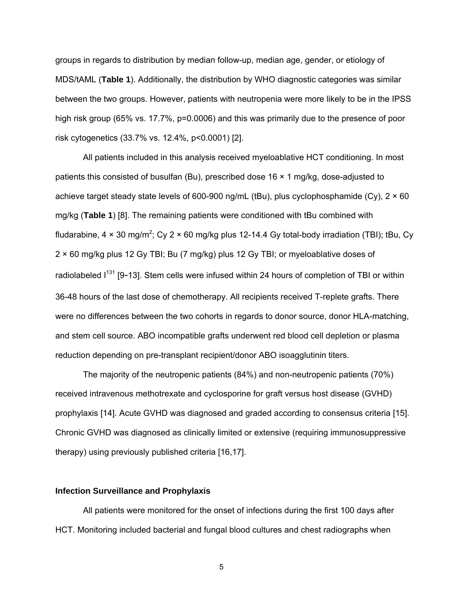groups in regards to distribution by median follow-up, median age, gender, or etiology of MDS/tAML (**Table 1**). Additionally, the distribution by WHO diagnostic categories was similar between the two groups. However, patients with neutropenia were more likely to be in the IPSS high risk group (65% vs. 17.7%, p=0.0006) and this was primarily due to the presence of poor risk cytogenetics (33.7% vs. 12.4%, p<0.0001) [2].

 All patients included in this analysis received myeloablative HCT conditioning. In most patients this consisted of busulfan (Bu), prescribed dose 16 × 1 mg/kg, dose-adjusted to achieve target steady state levels of 600-900 ng/mL (tBu), plus cyclophosphamide (Cy),  $2 \times 60$ mg/kg (**Table 1**) [8]. The remaining patients were conditioned with tBu combined with fludarabine, 4  $\times$  30 mg/m<sup>2</sup>; Cy 2  $\times$  60 mg/kg plus 12-14.4 Gy total-body irradiation (TBI); tBu, Cy 2 × 60 mg/kg plus 12 Gy TBI; Bu (7 mg/kg) plus 12 Gy TBI; or myeloablative doses of radiolabeled I<sup>131</sup> [9-13]. Stem cells were infused within 24 hours of completion of TBI or within 36-48 hours of the last dose of chemotherapy. All recipients received T-replete grafts. There were no differences between the two cohorts in regards to donor source, donor HLA-matching, and stem cell source. ABO incompatible grafts underwent red blood cell depletion or plasma reduction depending on pre-transplant recipient/donor ABO isoagglutinin titers.

 The majority of the neutropenic patients (84%) and non-neutropenic patients (70%) received intravenous methotrexate and cyclosporine for graft versus host disease (GVHD) prophylaxis [14]. Acute GVHD was diagnosed and graded according to consensus criteria [15]. Chronic GVHD was diagnosed as clinically limited or extensive (requiring immunosuppressive therapy) using previously published criteria [16,17].

#### **Infection Surveillance and Prophylaxis**

All patients were monitored for the onset of infections during the first 100 days after HCT. Monitoring included bacterial and fungal blood cultures and chest radiographs when

 $5<sub>5</sub>$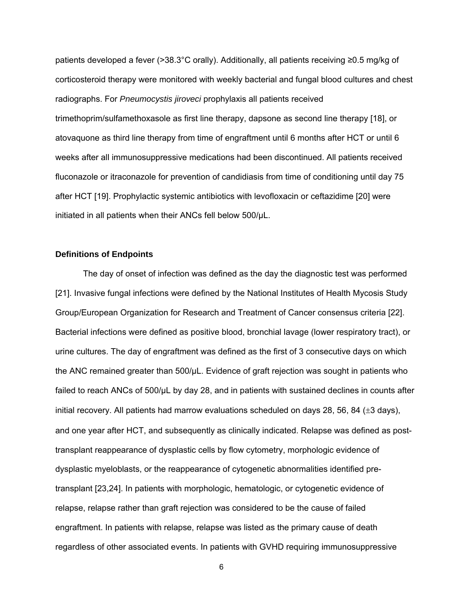patients developed a fever (>38.3°C orally). Additionally, all patients receiving ≥0.5 mg/kg of corticosteroid therapy were monitored with weekly bacterial and fungal blood cultures and chest radiographs. For *Pneumocystis jiroveci* prophylaxis all patients received trimethoprim/sulfamethoxasole as first line therapy, dapsone as second line therapy [18], or atovaquone as third line therapy from time of engraftment until 6 months after HCT or until 6 weeks after all immunosuppressive medications had been discontinued. All patients received fluconazole or itraconazole for prevention of candidiasis from time of conditioning until day 75 after HCT [19]. Prophylactic systemic antibiotics with levofloxacin or ceftazidime [20] were initiated in all patients when their ANCs fell below 500/µL.

### **Definitions of Endpoints**

The day of onset of infection was defined as the day the diagnostic test was performed [21]. Invasive fungal infections were defined by the National Institutes of Health Mycosis Study Group/European Organization for Research and Treatment of Cancer consensus criteria [22]. Bacterial infections were defined as positive blood, bronchial lavage (lower respiratory tract), or urine cultures. The day of engraftment was defined as the first of 3 consecutive days on which the ANC remained greater than 500/µL. Evidence of graft rejection was sought in patients who failed to reach ANCs of 500/µL by day 28, and in patients with sustained declines in counts after initial recovery. All patients had marrow evaluations scheduled on days 28, 56, 84  $(\pm 3 \text{ days})$ , and one year after HCT, and subsequently as clinically indicated. Relapse was defined as posttransplant reappearance of dysplastic cells by flow cytometry, morphologic evidence of dysplastic myeloblasts, or the reappearance of cytogenetic abnormalities identified pretransplant [23,24]. In patients with morphologic, hematologic, or cytogenetic evidence of relapse, relapse rather than graft rejection was considered to be the cause of failed engraftment. In patients with relapse, relapse was listed as the primary cause of death regardless of other associated events. In patients with GVHD requiring immunosuppressive

 $\sim$  600  $\sim$  600  $\sim$  600  $\sim$  600  $\sim$  600  $\sim$  600  $\sim$  600  $\sim$  600  $\sim$  600  $\sim$  600  $\sim$  600  $\sim$  600  $\sim$  600  $\sim$  600  $\sim$  600  $\sim$  600  $\sim$  600  $\sim$  600  $\sim$  600  $\sim$  600  $\sim$  600  $\sim$  600  $\sim$  600  $\sim$  600  $\sim$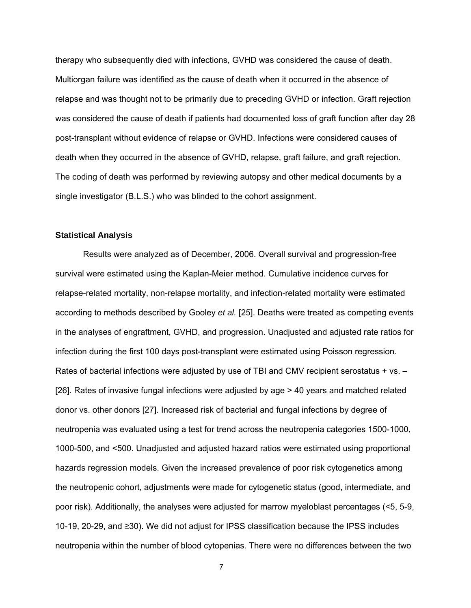therapy who subsequently died with infections, GVHD was considered the cause of death. Multiorgan failure was identified as the cause of death when it occurred in the absence of relapse and was thought not to be primarily due to preceding GVHD or infection. Graft rejection was considered the cause of death if patients had documented loss of graft function after day 28 post-transplant without evidence of relapse or GVHD. Infections were considered causes of death when they occurred in the absence of GVHD, relapse, graft failure, and graft rejection. The coding of death was performed by reviewing autopsy and other medical documents by a single investigator (B.L.S.) who was blinded to the cohort assignment.

#### **Statistical Analysis**

Results were analyzed as of December, 2006. Overall survival and progression-free survival were estimated using the Kaplan-Meier method. Cumulative incidence curves for relapse-related mortality, non-relapse mortality, and infection-related mortality were estimated according to methods described by Gooley *et al.* [25]. Deaths were treated as competing events in the analyses of engraftment, GVHD, and progression. Unadjusted and adjusted rate ratios for infection during the first 100 days post-transplant were estimated using Poisson regression. Rates of bacterial infections were adjusted by use of TBI and CMV recipient serostatus + vs. -[26]. Rates of invasive fungal infections were adjusted by age > 40 years and matched related donor vs. other donors [27]. Increased risk of bacterial and fungal infections by degree of neutropenia was evaluated using a test for trend across the neutropenia categories 1500-1000, 1000-500, and <500. Unadjusted and adjusted hazard ratios were estimated using proportional hazards regression models. Given the increased prevalence of poor risk cytogenetics among the neutropenic cohort, adjustments were made for cytogenetic status (good, intermediate, and poor risk). Additionally, the analyses were adjusted for marrow myeloblast percentages (<5, 5-9, 10-19, 20-29, and ≥30). We did not adjust for IPSS classification because the IPSS includes neutropenia within the number of blood cytopenias. There were no differences between the two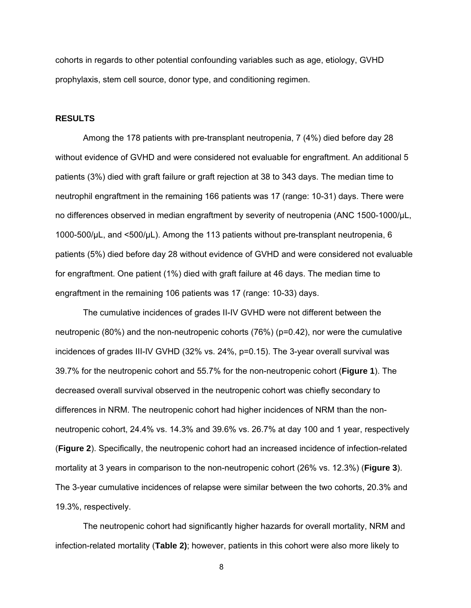cohorts in regards to other potential confounding variables such as age, etiology, GVHD prophylaxis, stem cell source, donor type, and conditioning regimen.

## **RESULTS**

 Among the 178 patients with pre-transplant neutropenia, 7 (4%) died before day 28 without evidence of GVHD and were considered not evaluable for engraftment. An additional 5 patients (3%) died with graft failure or graft rejection at 38 to 343 days. The median time to neutrophil engraftment in the remaining 166 patients was 17 (range: 10-31) days. There were no differences observed in median engraftment by severity of neutropenia (ANC 1500-1000/µL, 1000-500/µL, and <500/µL). Among the 113 patients without pre-transplant neutropenia, 6 patients (5%) died before day 28 without evidence of GVHD and were considered not evaluable for engraftment. One patient (1%) died with graft failure at 46 days. The median time to engraftment in the remaining 106 patients was 17 (range: 10-33) days.

 The cumulative incidences of grades II-IV GVHD were not different between the neutropenic (80%) and the non-neutropenic cohorts (76%) (p=0.42), nor were the cumulative incidences of grades III-IV GVHD (32% vs. 24%, p=0.15). The 3-year overall survival was 39.7% for the neutropenic cohort and 55.7% for the non-neutropenic cohort (**Figure 1**). The decreased overall survival observed in the neutropenic cohort was chiefly secondary to differences in NRM. The neutropenic cohort had higher incidences of NRM than the nonneutropenic cohort, 24.4% vs. 14.3% and 39.6% vs. 26.7% at day 100 and 1 year, respectively (**Figure 2**). Specifically, the neutropenic cohort had an increased incidence of infection-related mortality at 3 years in comparison to the non-neutropenic cohort (26% vs. 12.3%) (**Figure 3**). The 3-year cumulative incidences of relapse were similar between the two cohorts, 20.3% and 19.3%, respectively.

 The neutropenic cohort had significantly higher hazards for overall mortality, NRM and infection-related mortality (**Table 2)**; however, patients in this cohort were also more likely to

8 and 20 and 20 and 20 and 20 and 20 and 20 and 20 and 20 and 20 and 20 and 20 and 20 and 20 and 20 and 20 and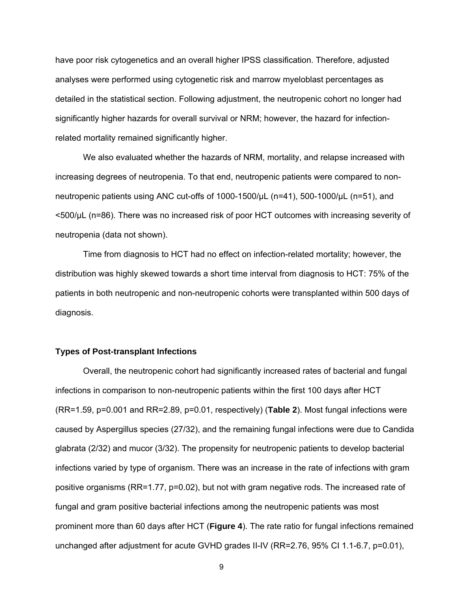have poor risk cytogenetics and an overall higher IPSS classification. Therefore, adjusted analyses were performed using cytogenetic risk and marrow myeloblast percentages as detailed in the statistical section. Following adjustment, the neutropenic cohort no longer had significantly higher hazards for overall survival or NRM; however, the hazard for infectionrelated mortality remained significantly higher.

 We also evaluated whether the hazards of NRM, mortality, and relapse increased with increasing degrees of neutropenia. To that end, neutropenic patients were compared to nonneutropenic patients using ANC cut-offs of 1000-1500/µL (n=41), 500-1000/µL (n=51), and <500/µL (n=86). There was no increased risk of poor HCT outcomes with increasing severity of neutropenia (data not shown).

 Time from diagnosis to HCT had no effect on infection-related mortality; however, the distribution was highly skewed towards a short time interval from diagnosis to HCT: 75% of the patients in both neutropenic and non-neutropenic cohorts were transplanted within 500 days of diagnosis.

### **Types of Post-transplant Infections**

 Overall, the neutropenic cohort had significantly increased rates of bacterial and fungal infections in comparison to non-neutropenic patients within the first 100 days after HCT (RR=1.59, p=0.001 and RR=2.89, p=0.01, respectively) (**Table 2**). Most fungal infections were caused by Aspergillus species (27/32), and the remaining fungal infections were due to Candida glabrata (2/32) and mucor (3/32). The propensity for neutropenic patients to develop bacterial infections varied by type of organism. There was an increase in the rate of infections with gram positive organisms (RR=1.77, p=0.02), but not with gram negative rods. The increased rate of fungal and gram positive bacterial infections among the neutropenic patients was most prominent more than 60 days after HCT (**Figure 4**). The rate ratio for fungal infections remained unchanged after adjustment for acute GVHD grades II-IV (RR=2.76, 95% CI 1.1-6.7, p=0.01),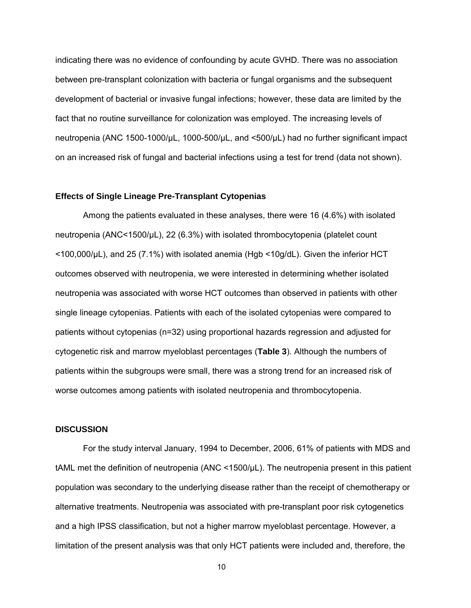indicating there was no evidence of confounding by acute GVHD. There was no association between pre-transplant colonization with bacteria or fungal organisms and the subsequent development of bacterial or invasive fungal infections; however, these data are limited by the fact that no routine surveillance for colonization was employed. The increasing levels of neutropenia (ANC 1500-1000/µL, 1000-500/µL, and <500/µL) had no further significant impact on an increased risk of fungal and bacterial infections using a test for trend (data not shown).

#### **Effects of Single Lineage Pre-Transplant Cytopenias**

 Among the patients evaluated in these analyses, there were 16 (4.6%) with isolated neutropenia (ANC<1500/µL), 22 (6.3%) with isolated thrombocytopenia (platelet count <100,000/µL), and 25 (7.1%) with isolated anemia (Hgb <10g/dL). Given the inferior HCT outcomes observed with neutropenia, we were interested in determining whether isolated neutropenia was associated with worse HCT outcomes than observed in patients with other single lineage cytopenias. Patients with each of the isolated cytopenias were compared to patients without cytopenias (n=32) using proportional hazards regression and adjusted for cytogenetic risk and marrow myeloblast percentages (**Table 3**). Although the numbers of patients within the subgroups were small, there was a strong trend for an increased risk of worse outcomes among patients with isolated neutropenia and thrombocytopenia.

#### **DISCUSSION**

 For the study interval January, 1994 to December, 2006, 61% of patients with MDS and tAML met the definition of neutropenia (ANC <1500/µL). The neutropenia present in this patient population was secondary to the underlying disease rather than the receipt of chemotherapy or alternative treatments. Neutropenia was associated with pre-transplant poor risk cytogenetics and a high IPSS classification, but not a higher marrow myeloblast percentage. However, a limitation of the present analysis was that only HCT patients were included and, therefore, the

 $10<sub>1</sub>$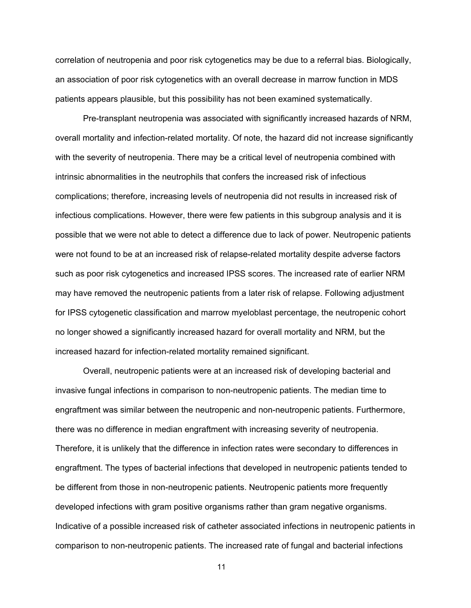correlation of neutropenia and poor risk cytogenetics may be due to a referral bias. Biologically, an association of poor risk cytogenetics with an overall decrease in marrow function in MDS patients appears plausible, but this possibility has not been examined systematically.

 Pre-transplant neutropenia was associated with significantly increased hazards of NRM, overall mortality and infection-related mortality. Of note, the hazard did not increase significantly with the severity of neutropenia. There may be a critical level of neutropenia combined with intrinsic abnormalities in the neutrophils that confers the increased risk of infectious complications; therefore, increasing levels of neutropenia did not results in increased risk of infectious complications. However, there were few patients in this subgroup analysis and it is possible that we were not able to detect a difference due to lack of power. Neutropenic patients were not found to be at an increased risk of relapse-related mortality despite adverse factors such as poor risk cytogenetics and increased IPSS scores. The increased rate of earlier NRM may have removed the neutropenic patients from a later risk of relapse. Following adjustment for IPSS cytogenetic classification and marrow myeloblast percentage, the neutropenic cohort no longer showed a significantly increased hazard for overall mortality and NRM, but the increased hazard for infection-related mortality remained significant.

 Overall, neutropenic patients were at an increased risk of developing bacterial and invasive fungal infections in comparison to non-neutropenic patients. The median time to engraftment was similar between the neutropenic and non-neutropenic patients. Furthermore, there was no difference in median engraftment with increasing severity of neutropenia. Therefore, it is unlikely that the difference in infection rates were secondary to differences in engraftment. The types of bacterial infections that developed in neutropenic patients tended to be different from those in non-neutropenic patients. Neutropenic patients more frequently developed infections with gram positive organisms rather than gram negative organisms. Indicative of a possible increased risk of catheter associated infections in neutropenic patients in comparison to non-neutropenic patients. The increased rate of fungal and bacterial infections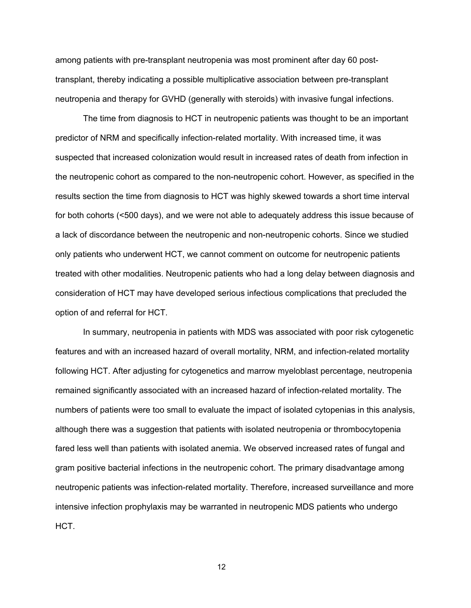among patients with pre-transplant neutropenia was most prominent after day 60 posttransplant, thereby indicating a possible multiplicative association between pre-transplant neutropenia and therapy for GVHD (generally with steroids) with invasive fungal infections.

 The time from diagnosis to HCT in neutropenic patients was thought to be an important predictor of NRM and specifically infection-related mortality. With increased time, it was suspected that increased colonization would result in increased rates of death from infection in the neutropenic cohort as compared to the non-neutropenic cohort. However, as specified in the results section the time from diagnosis to HCT was highly skewed towards a short time interval for both cohorts (<500 days), and we were not able to adequately address this issue because of a lack of discordance between the neutropenic and non-neutropenic cohorts. Since we studied only patients who underwent HCT, we cannot comment on outcome for neutropenic patients treated with other modalities. Neutropenic patients who had a long delay between diagnosis and consideration of HCT may have developed serious infectious complications that precluded the option of and referral for HCT.

 In summary, neutropenia in patients with MDS was associated with poor risk cytogenetic features and with an increased hazard of overall mortality, NRM, and infection-related mortality following HCT. After adjusting for cytogenetics and marrow myeloblast percentage, neutropenia remained significantly associated with an increased hazard of infection-related mortality. The numbers of patients were too small to evaluate the impact of isolated cytopenias in this analysis, although there was a suggestion that patients with isolated neutropenia or thrombocytopenia fared less well than patients with isolated anemia. We observed increased rates of fungal and gram positive bacterial infections in the neutropenic cohort. The primary disadvantage among neutropenic patients was infection-related mortality. Therefore, increased surveillance and more intensive infection prophylaxis may be warranted in neutropenic MDS patients who undergo HCT.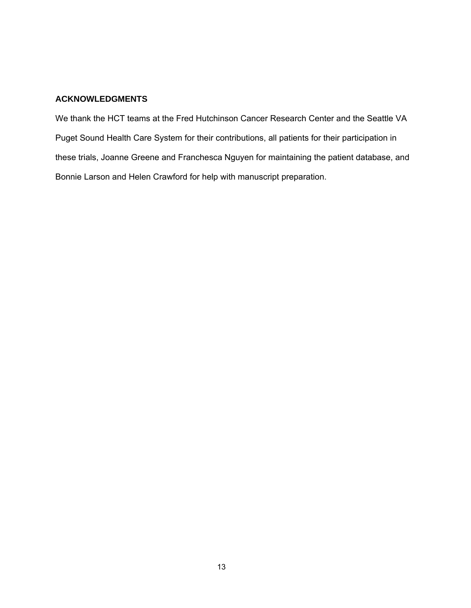## **ACKNOWLEDGMENTS**

We thank the HCT teams at the Fred Hutchinson Cancer Research Center and the Seattle VA Puget Sound Health Care System for their contributions, all patients for their participation in these trials, Joanne Greene and Franchesca Nguyen for maintaining the patient database, and Bonnie Larson and Helen Crawford for help with manuscript preparation.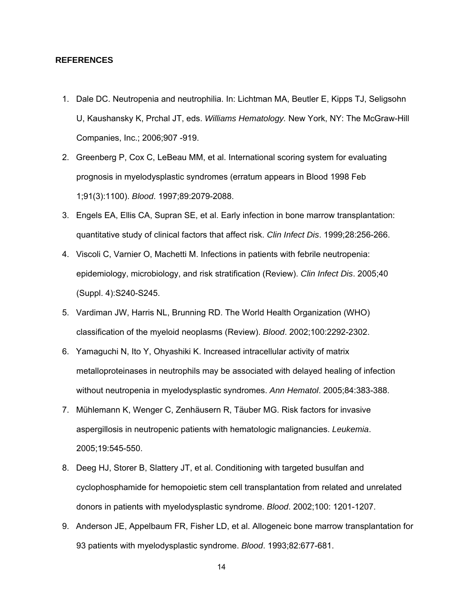#### **REFERENCES**

- 1. Dale DC. Neutropenia and neutrophilia. In: Lichtman MA, Beutler E, Kipps TJ, Seligsohn U, Kaushansky K, Prchal JT, eds. *Williams Hematology.* New York, NY: The McGraw-Hill Companies, Inc.; 2006;907 -919.
- 2. Greenberg P, Cox C, LeBeau MM, et al. International scoring system for evaluating prognosis in myelodysplastic syndromes (erratum appears in Blood 1998 Feb 1;91(3):1100). *Blood*. 1997;89:2079-2088.
- 3. Engels EA, Ellis CA, Supran SE, et al. Early infection in bone marrow transplantation: quantitative study of clinical factors that affect risk. *Clin Infect Dis*. 1999;28:256-266.
- 4. Viscoli C, Varnier O, Machetti M. Infections in patients with febrile neutropenia: epidemiology, microbiology, and risk stratification (Review). *Clin Infect Dis*. 2005;40 (Suppl. 4):S240-S245.
- 5. Vardiman JW, Harris NL, Brunning RD. The World Health Organization (WHO) classification of the myeloid neoplasms (Review). *Blood*. 2002;100:2292-2302.
- 6. Yamaguchi N, Ito Y, Ohyashiki K. Increased intracellular activity of matrix metalloproteinases in neutrophils may be associated with delayed healing of infection without neutropenia in myelodysplastic syndromes. *Ann Hematol*. 2005;84:383-388.
- 7. Mühlemann K, Wenger C, Zenhäusern R, Täuber MG. Risk factors for invasive aspergillosis in neutropenic patients with hematologic malignancies. *Leukemia*. 2005;19:545-550.
- 8. Deeg HJ, Storer B, Slattery JT, et al. Conditioning with targeted busulfan and cyclophosphamide for hemopoietic stem cell transplantation from related and unrelated donors in patients with myelodysplastic syndrome. *Blood*. 2002;100: 1201-1207.
- 9. Anderson JE, Appelbaum FR, Fisher LD, et al. Allogeneic bone marrow transplantation for 93 patients with myelodysplastic syndrome. *Blood*. 1993;82:677-681.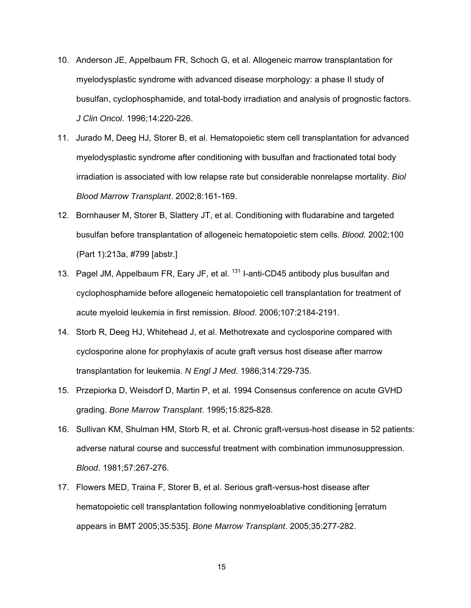- 10. Anderson JE, Appelbaum FR, Schoch G, et al. Allogeneic marrow transplantation for myelodysplastic syndrome with advanced disease morphology: a phase II study of busulfan, cyclophosphamide, and total-body irradiation and analysis of prognostic factors. *J Clin Oncol*. 1996;14:220-226.
- 11. Jurado M, Deeg HJ, Storer B, et al. Hematopoietic stem cell transplantation for advanced myelodysplastic syndrome after conditioning with busulfan and fractionated total body irradiation is associated with low relapse rate but considerable nonrelapse mortality. *Biol Blood Marrow Transplant*. 2002;8:161-169.
- 12. Bornhauser M, Storer B, Slattery JT, et al. Conditioning with fludarabine and targeted busulfan before transplantation of allogeneic hematopoietic stem cells. *Blood.* 2002;100 (Part 1):213a, #799 [abstr.]
- 13. Pagel JM, Appelbaum FR, Eary JF, et al. <sup>131</sup> I-anti-CD45 antibody plus busulfan and cyclophosphamide before allogeneic hematopoietic cell transplantation for treatment of acute myeloid leukemia in first remission. *Blood*. 2006;107:2184-2191.
- 14. Storb R, Deeg HJ, Whitehead J, et al. Methotrexate and cyclosporine compared with cyclosporine alone for prophylaxis of acute graft versus host disease after marrow transplantation for leukemia. *N Engl J Med*. 1986;314:729-735.
- 15. Przepiorka D, Weisdorf D, Martin P, et al. 1994 Consensus conference on acute GVHD grading. *Bone Marrow Transplant*. 1995;15:825-828.
- 16. Sullivan KM, Shulman HM, Storb R, et al. Chronic graft-versus-host disease in 52 patients: adverse natural course and successful treatment with combination immunosuppression. *Blood*. 1981;57:267-276.
- 17. Flowers MED, Traina F, Storer B, et al. Serious graft-versus-host disease after hematopoietic cell transplantation following nonmyeloablative conditioning [erratum appears in BMT 2005;35:535]. *Bone Marrow Transplant*. 2005;35:277-282.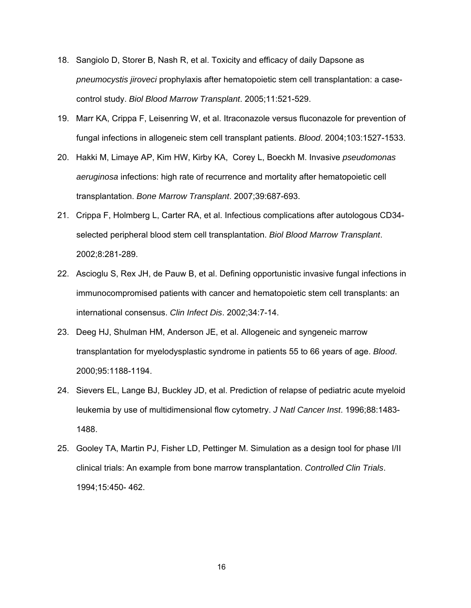- 18. Sangiolo D, Storer B, Nash R, et al. Toxicity and efficacy of daily Dapsone as *pneumocystis jiroveci* prophylaxis after hematopoietic stem cell transplantation: a casecontrol study. *Biol Blood Marrow Transplant*. 2005;11:521-529.
- 19. Marr KA, Crippa F, Leisenring W, et al. Itraconazole versus fluconazole for prevention of fungal infections in allogeneic stem cell transplant patients. *Blood*. 2004;103:1527-1533.
- 20. Hakki M, Limaye AP, Kim HW, Kirby KA, Corey L, Boeckh M. Invasive *pseudomonas aeruginosa* infections: high rate of recurrence and mortality after hematopoietic cell transplantation. *Bone Marrow Transplant*. 2007;39:687-693.
- 21. Crippa F, Holmberg L, Carter RA, et al. Infectious complications after autologous CD34 selected peripheral blood stem cell transplantation. *Biol Blood Marrow Transplant*. 2002;8:281-289.
- 22. Ascioglu S, Rex JH, de Pauw B, et al. Defining opportunistic invasive fungal infections in immunocompromised patients with cancer and hematopoietic stem cell transplants: an international consensus. *Clin Infect Dis*. 2002;34:7-14.
- 23. Deeg HJ, Shulman HM, Anderson JE, et al. Allogeneic and syngeneic marrow transplantation for myelodysplastic syndrome in patients 55 to 66 years of age. *Blood*. 2000;95:1188-1194.
- 24. Sievers EL, Lange BJ, Buckley JD, et al. Prediction of relapse of pediatric acute myeloid leukemia by use of multidimensional flow cytometry. *J Natl Cancer Inst*. 1996;88:1483- 1488.
- 25. Gooley TA, Martin PJ, Fisher LD, Pettinger M. Simulation as a design tool for phase I/II clinical trials: An example from bone marrow transplantation. *Controlled Clin Trials*. 1994;15:450- 462.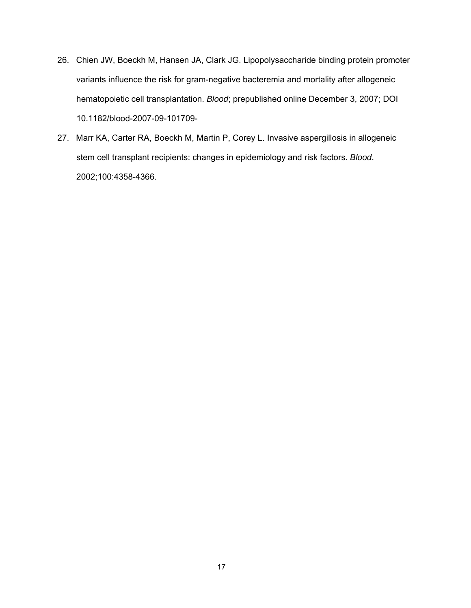- 26. Chien JW, Boeckh M, Hansen JA, Clark JG. Lipopolysaccharide binding protein promoter variants influence the risk for gram-negative bacteremia and mortality after allogeneic hematopoietic cell transplantation. *Blood*; prepublished online December 3, 2007; DOI 10.1182/blood-2007-09-101709-
- 27. Marr KA, Carter RA, Boeckh M, Martin P, Corey L. Invasive aspergillosis in allogeneic stem cell transplant recipients: changes in epidemiology and risk factors. *Blood*. 2002;100:4358-4366.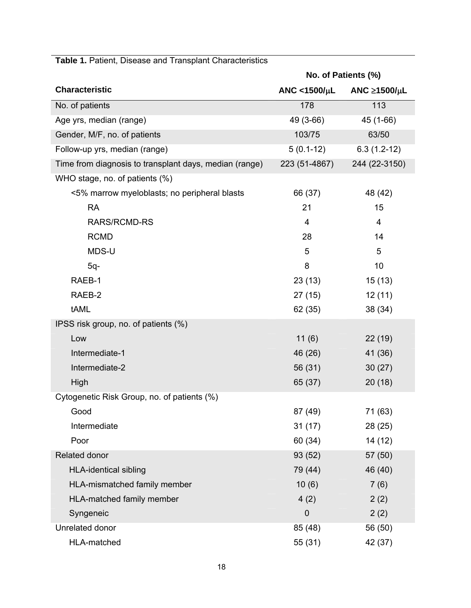|                                                        | No. of Patients (%)            |                          |  |
|--------------------------------------------------------|--------------------------------|--------------------------|--|
| <b>Characteristic</b>                                  | ANC <1500/ $\mu$ L             | ANC $\geq$ 1500/ $\mu$ L |  |
| No. of patients                                        | 178                            | 113                      |  |
| Age yrs, median (range)                                | 49 (3-66)                      | 45 (1-66)                |  |
| Gender, M/F, no. of patients                           | 103/75                         | 63/50                    |  |
| Follow-up yrs, median (range)                          | $5(0.1-12)$<br>$6.3(1.2-12)$   |                          |  |
| Time from diagnosis to transplant days, median (range) | 223 (51-4867)<br>244 (22-3150) |                          |  |
| WHO stage, no. of patients (%)                         |                                |                          |  |
| <5% marrow myeloblasts; no peripheral blasts           | 66 (37)                        | 48 (42)                  |  |
| <b>RA</b>                                              | 21                             | 15                       |  |
| <b>RARS/RCMD-RS</b>                                    | 4                              | 4                        |  |
| <b>RCMD</b>                                            | 28                             | 14                       |  |
| MDS-U                                                  | 5                              | 5                        |  |
| $5q-$                                                  | 8                              | 10                       |  |
| RAEB-1                                                 | 23(13)                         | 15(13)                   |  |
| RAEB-2                                                 | 27 (15)                        | 12(11)                   |  |
| tAML                                                   | 62 (35)                        | 38 (34)                  |  |
| IPSS risk group, no. of patients (%)                   |                                |                          |  |
| Low                                                    | 11(6)                          | 22(19)                   |  |
| Intermediate-1                                         | 46 (26)                        | 41 (36)                  |  |
| Intermediate-2                                         | 56 (31)                        | 30(27)                   |  |
| High                                                   | 20(18)<br>65 (37)              |                          |  |
| Cytogenetic Risk Group, no. of patients (%)            |                                |                          |  |
| Good                                                   | 87 (49)                        | 71 (63)                  |  |
| Intermediate                                           | 31(17)                         | 28 (25)                  |  |
| Poor                                                   | 60 (34)                        | 14 (12)                  |  |
| Related donor                                          | 93 (52)                        | 57 (50)                  |  |
| <b>HLA-identical sibling</b>                           | 79 (44)                        | 46 (40)                  |  |
| HLA-mismatched family member                           | 10(6)                          | 7(6)                     |  |
| HLA-matched family member                              | 4(2)                           | 2(2)                     |  |
| Syngeneic                                              | $\mathbf 0$                    | 2(2)                     |  |
| Unrelated donor                                        | 85 (48)                        | 56 (50)                  |  |
| HLA-matched                                            | 55 (31)                        | 42 (37)                  |  |

# **Table 1.** Patient, Disease and Transplant Characteristics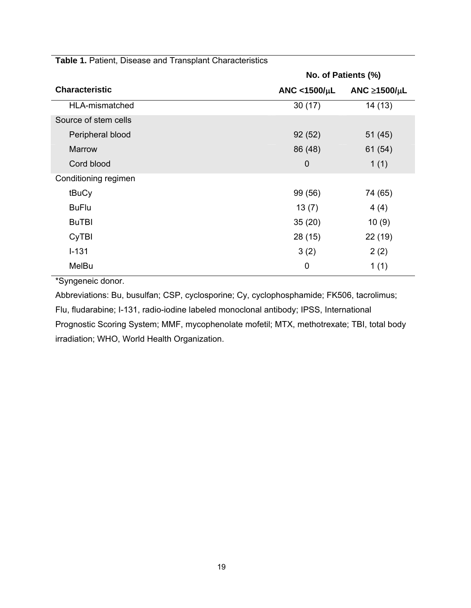|                       | No. of Patients (%) |                          |  |
|-----------------------|---------------------|--------------------------|--|
| <b>Characteristic</b> | ANC <1500/ $\mu$ L  | ANC $\geq$ 1500/ $\mu$ L |  |
| HLA-mismatched        | 30(17)              | 14(13)                   |  |
| Source of stem cells  |                     |                          |  |
| Peripheral blood      | 92(52)              | 51(45)                   |  |
| Marrow                | 86 (48)             | 61 (54)                  |  |
| Cord blood            | $\mathbf 0$         | 1(1)                     |  |
| Conditioning regimen  |                     |                          |  |
| tBuCy                 | 99 (56)             | 74 (65)                  |  |
| <b>BuFlu</b>          | 13(7)               | 4(4)                     |  |
| <b>BuTBI</b>          | 35(20)<br>10(9)     |                          |  |
| CyTBI                 | 28 (15)<br>22(19)   |                          |  |
| $I - 131$             | 3(2)<br>2(2)        |                          |  |
| MelBu                 | 0                   | 1(1)                     |  |

**Table 1.** Patient, Disease and Transplant Characteristics

\*Syngeneic donor.

Abbreviations: Bu, busulfan; CSP, cyclosporine; Cy, cyclophosphamide; FK506, tacrolimus; Flu, fludarabine; I-131, radio-iodine labeled monoclonal antibody; IPSS, International Prognostic Scoring System; MMF, mycophenolate mofetil; MTX, methotrexate; TBI, total body irradiation; WHO, World Health Organization.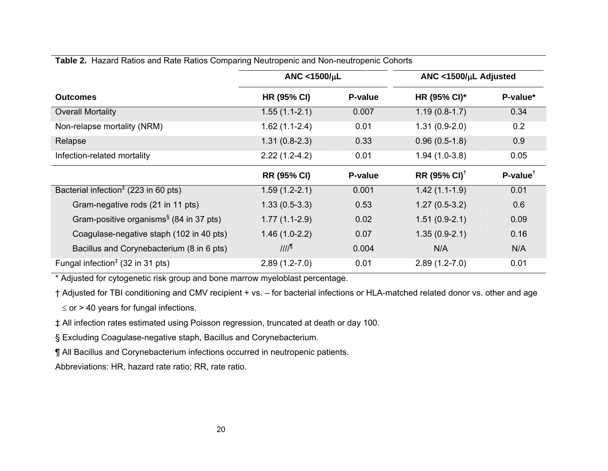|                                                               | ANC <1500/ $\mu$ L  |         | ANC <1500/ $\mu$ L Adjusted |            |
|---------------------------------------------------------------|---------------------|---------|-----------------------------|------------|
| <b>Outcomes</b>                                               | <b>HR (95% CI)</b>  | P-value | HR (95% CI)*                | P-value*   |
| <b>Overall Mortality</b>                                      | $1.55(1.1-2.1)$     | 0.007   | $1.19(0.8-1.7)$             | 0.34       |
| Non-relapse mortality (NRM)                                   | $1.62(1.1-2.4)$     | 0.01    | $1.31(0.9-2.0)$             | 0.2        |
| Relapse                                                       | $1.31(0.8-2.3)$     | 0.33    | $0.96(0.5-1.8)$             | 0.9        |
| Infection-related mortality                                   | $2.22(1.2-4.2)$     | 0.01    | $1.94(1.0-3.8)$             | 0.05       |
|                                                               | <b>RR (95% CI)</b>  | P-value | $RR (95\% CI)^{\dagger}$    | $P-value†$ |
| Bacterial infection <sup><math>‡</math></sup> (223 in 60 pts) | $1.59(1.2-2.1)$     | 0.001   | $1.42(1.1-1.9)$             | 0.01       |
| Gram-negative rods (21 in 11 pts)                             | $1.33(0.5-3.3)$     | 0.53    | $1.27(0.5-3.2)$             | 0.6        |
| Gram-positive organisms <sup>§</sup> (84 in 37 pts)           | $1.77(1.1-2.9)$     | 0.02    | $1.51(0.9-2.1)$             | 0.09       |
| Coagulase-negative staph (102 in 40 pts)                      | $1.46(1.0-2.2)$     | 0.07    | $1.35(0.9-2.1)$             | 0.16       |
| Bacillus and Corynebacterium (8 in 6 pts)                     | $III$ <sup>11</sup> | 0.004   | N/A                         | N/A        |
| Fungal infection <sup><math>‡</math></sup> (32 in 31 pts)     | $2.89(1.2 - 7.0)$   | 0.01    | $2.89(1.2 - 7.0)$           | 0.01       |

## **Table 2.** Hazard Ratios and Rate Ratios Comparing Neutropenic and Non-neutropenic Cohorts

\* Adjusted for cytogenetic risk group and bone marrow myeloblast percentage.

† Adjusted for TBI conditioning and CMV recipient + vs. – for bacterial infections or HLA-matched related donor vs. other and age  $\le$  or > 40 years for fungal infections.

‡ All infection rates estimated using Poisson regression, truncated at death or day 100.

§ Excluding Coagulase-negative staph, Bacillus and Corynebacterium.

¶ All Bacillus and Corynebacterium infections occurred in neutropenic patients.

Abbreviations: HR, hazard rate ratio; RR, rate ratio.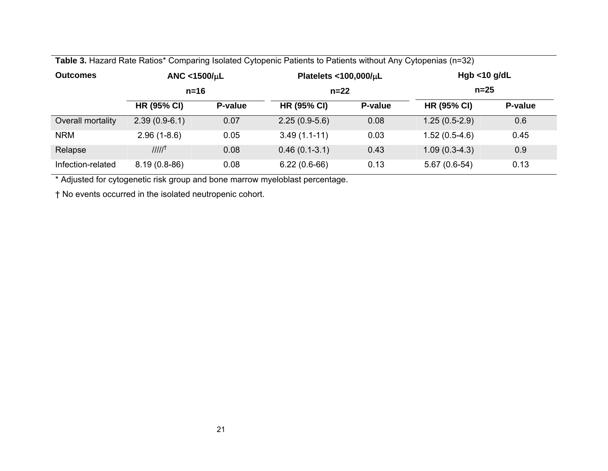| <b>Table 3.</b> Hazard Rate Ratios Companing isolated Cytopenic Patients to Patients without Any Cytopenias (n=32) |                              |         |                                         |         |                           |         |
|--------------------------------------------------------------------------------------------------------------------|------------------------------|---------|-----------------------------------------|---------|---------------------------|---------|
| <b>Outcomes</b>                                                                                                    | ANC <1500/ $\mu$ L<br>$n=16$ |         | Platelets <100,000/ $\mu$ L<br>$n = 22$ |         | Hgb $<$ 10 g/dL<br>$n=25$ |         |
|                                                                                                                    |                              |         |                                         |         |                           |         |
|                                                                                                                    | <b>HR (95% CI)</b>           | P-value | <b>HR (95% CI)</b>                      | P-value | <b>HR (95% CI)</b>        | P-value |
| Overall mortality                                                                                                  | $2.39(0.9-6.1)$              | 0.07    | $2.25(0.9-5.6)$                         | 0.08    | $1.25(0.5-2.9)$           | 0.6     |
| <b>NRM</b>                                                                                                         | $2.96(1 - 8.6)$              | 0.05    | $3.49(1.1-11)$                          | 0.03    | $1.52(0.5-4.6)$           | 0.45    |
| Relapse                                                                                                            | IIII <sup>†</sup>            | 0.08    | $0.46(0.1-3.1)$                         | 0.43    | $1.09(0.3-4.3)$           | 0.9     |
| Infection-related                                                                                                  | $8.19(0.8-86)$               | 0.08    | $6.22(0.6-66)$                          | 0.13    | $5.67(0.6-54)$            | 0.13    |

**Table 3.** Hazard Rate Ratios\* Comparing Isolated Cytopenic Patients to Patients without Any Cytopenias (n=32)

\* Adjusted for cytogenetic risk group and bone marrow myeloblast percentage.

† No events occurred in the isolated neutropenic cohort.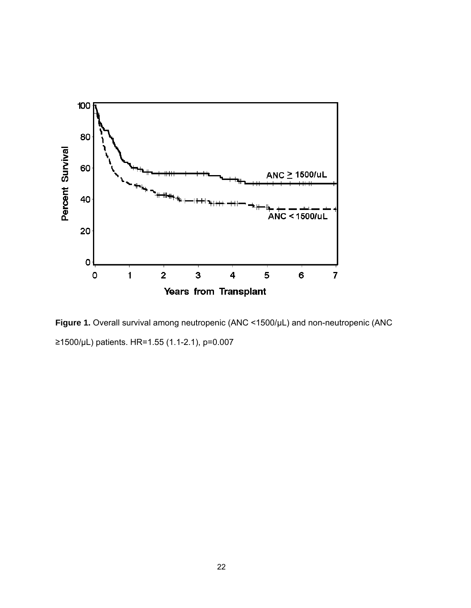

**Figure 1.** Overall survival among neutropenic (ANC <1500/µL) and non-neutropenic (ANC ≥1500/µL) patients. HR=1.55 (1.1-2.1), p=0.007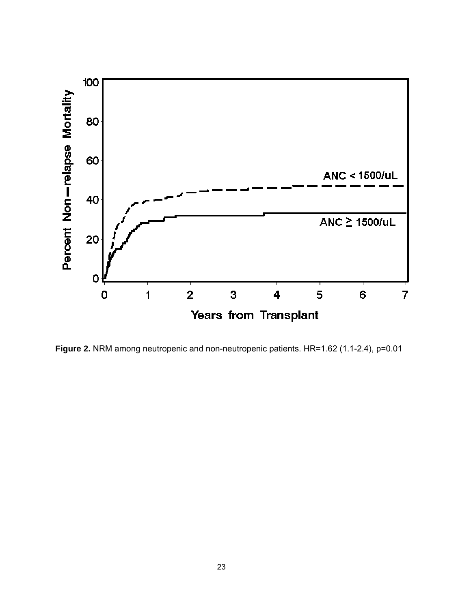

**Figure 2.** NRM among neutropenic and non-neutropenic patients. HR=1.62 (1.1-2.4), p=0.01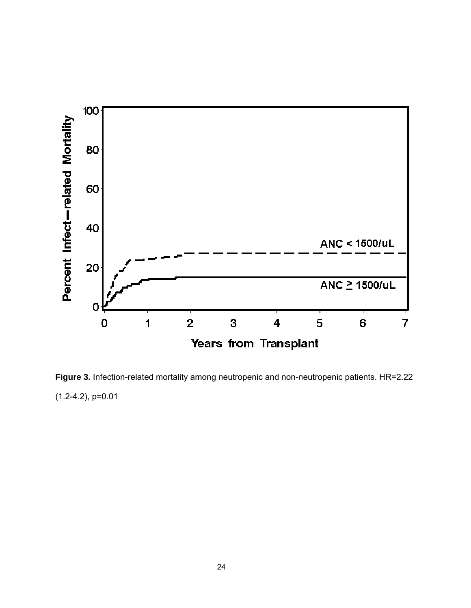

**Figure 3.** Infection-related mortality among neutropenic and non-neutropenic patients. HR=2.22 (1.2-4.2), p=0.01